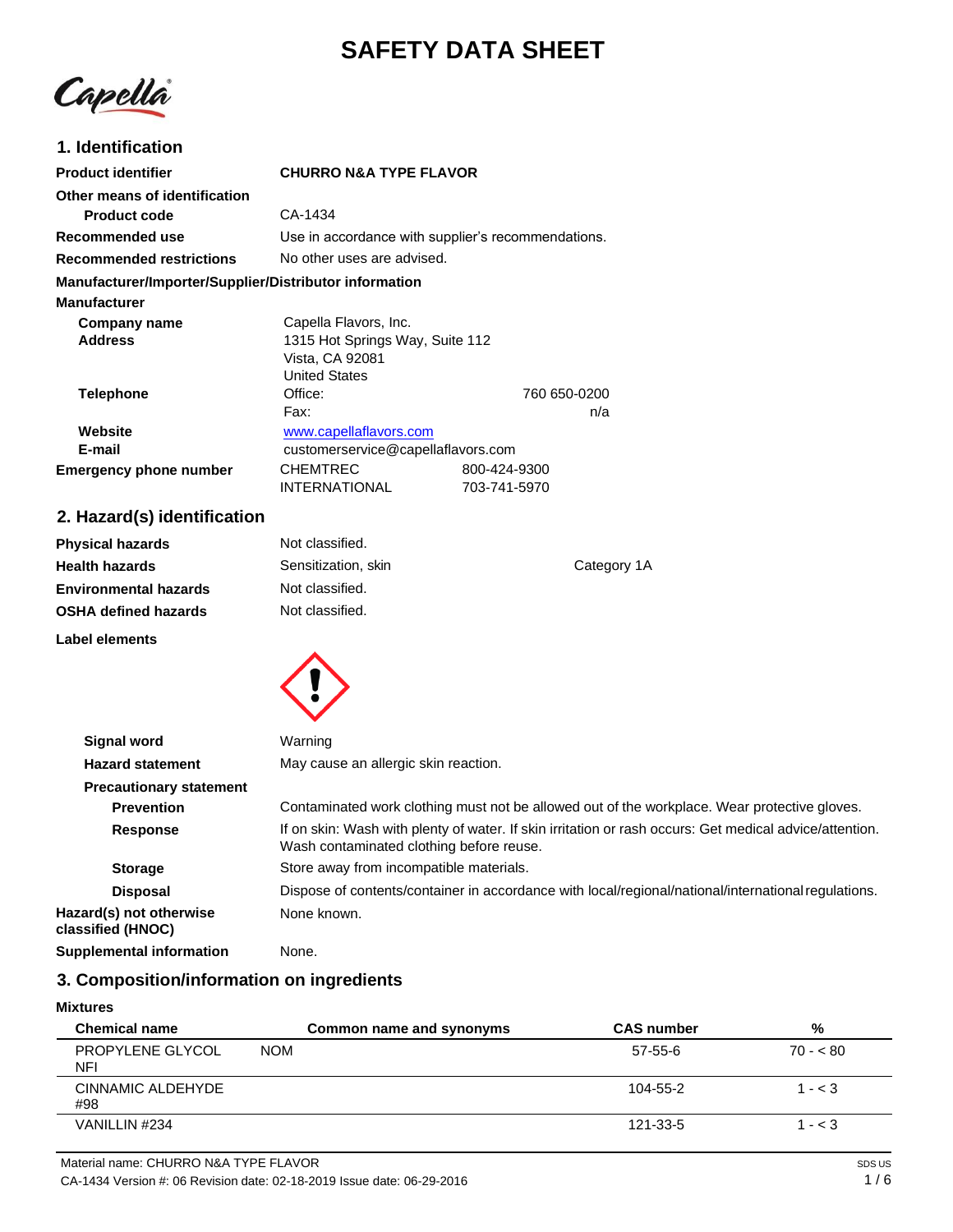# **SAFETY DATA SHEET**

Capella

# **1. Identification**

| <b>Product identifier</b>                              | <b>CHURRO N&amp;A TYPE FLAVOR</b>                  |              |
|--------------------------------------------------------|----------------------------------------------------|--------------|
| Other means of identification                          |                                                    |              |
| <b>Product code</b>                                    | CA-1434                                            |              |
| Recommended use                                        | Use in accordance with supplier's recommendations. |              |
| <b>Recommended restrictions</b>                        | No other uses are advised.                         |              |
| Manufacturer/Importer/Supplier/Distributor information |                                                    |              |
| <b>Manufacturer</b>                                    |                                                    |              |
| Company name                                           | Capella Flavors, Inc.                              |              |
| <b>Address</b>                                         | 1315 Hot Springs Way, Suite 112                    |              |
|                                                        | Vista, CA 92081                                    |              |
|                                                        | <b>United States</b>                               |              |
| Telephone                                              | Office:                                            | 760 650-0200 |
|                                                        | Fax:                                               | n/a          |
| Website                                                | www.capellaflavors.com                             |              |
| E-mail                                                 | customerservice@capellaflavors.com                 |              |
| <b>Emergency phone number</b>                          | <b>CHEMTREC</b>                                    | 800-424-9300 |
|                                                        | <b>INTERNATIONAL</b>                               | 703-741-5970 |

# **2. Hazard(s) identification**

| <b>Physical hazards</b>      | Not classified.     |             |
|------------------------------|---------------------|-------------|
| <b>Health hazards</b>        | Sensitization, skin | Category 1A |
| <b>Environmental hazards</b> | Not classified.     |             |
| <b>OSHA defined hazards</b>  | Not classified.     |             |
| Label elements               |                     |             |



| May cause an allergic skin reaction.<br><b>Hazard statement</b><br><b>Precautionary statement</b><br>Contaminated work clothing must not be allowed out of the workplace. Wear protective gloves.<br><b>Prevention</b><br><b>Response</b><br>Wash contaminated clothing before reuse.<br>Store away from incompatible materials.<br><b>Storage</b><br><b>Disposal</b><br>Hazard(s) not otherwise<br>None known.<br>classified (HNOC)<br><b>Supplemental information</b><br>None. | <b>Signal word</b> | Warning                                                                                                 |
|----------------------------------------------------------------------------------------------------------------------------------------------------------------------------------------------------------------------------------------------------------------------------------------------------------------------------------------------------------------------------------------------------------------------------------------------------------------------------------|--------------------|---------------------------------------------------------------------------------------------------------|
|                                                                                                                                                                                                                                                                                                                                                                                                                                                                                  |                    |                                                                                                         |
|                                                                                                                                                                                                                                                                                                                                                                                                                                                                                  |                    |                                                                                                         |
|                                                                                                                                                                                                                                                                                                                                                                                                                                                                                  |                    |                                                                                                         |
|                                                                                                                                                                                                                                                                                                                                                                                                                                                                                  |                    | If on skin: Wash with plenty of water. If skin irritation or rash occurs: Get medical advice/attention. |
|                                                                                                                                                                                                                                                                                                                                                                                                                                                                                  |                    |                                                                                                         |
|                                                                                                                                                                                                                                                                                                                                                                                                                                                                                  |                    | Dispose of contents/container in accordance with local/regional/national/international regulations.     |
|                                                                                                                                                                                                                                                                                                                                                                                                                                                                                  |                    |                                                                                                         |
|                                                                                                                                                                                                                                                                                                                                                                                                                                                                                  |                    |                                                                                                         |

# **3. Composition/information on ingredients**

### **Mixtures**

| <b>Chemical name</b>     | Common name and synonyms | <b>CAS number</b> | %         |
|--------------------------|--------------------------|-------------------|-----------|
| PROPYLENE GLYCOL<br>NFI  | <b>NOM</b>               | 57-55-6           | $70 - 80$ |
| CINNAMIC ALDEHYDE<br>#98 |                          | 104-55-2          | $1 - < 3$ |
| VANILLIN #234            |                          | 121-33-5          | $1 - < 3$ |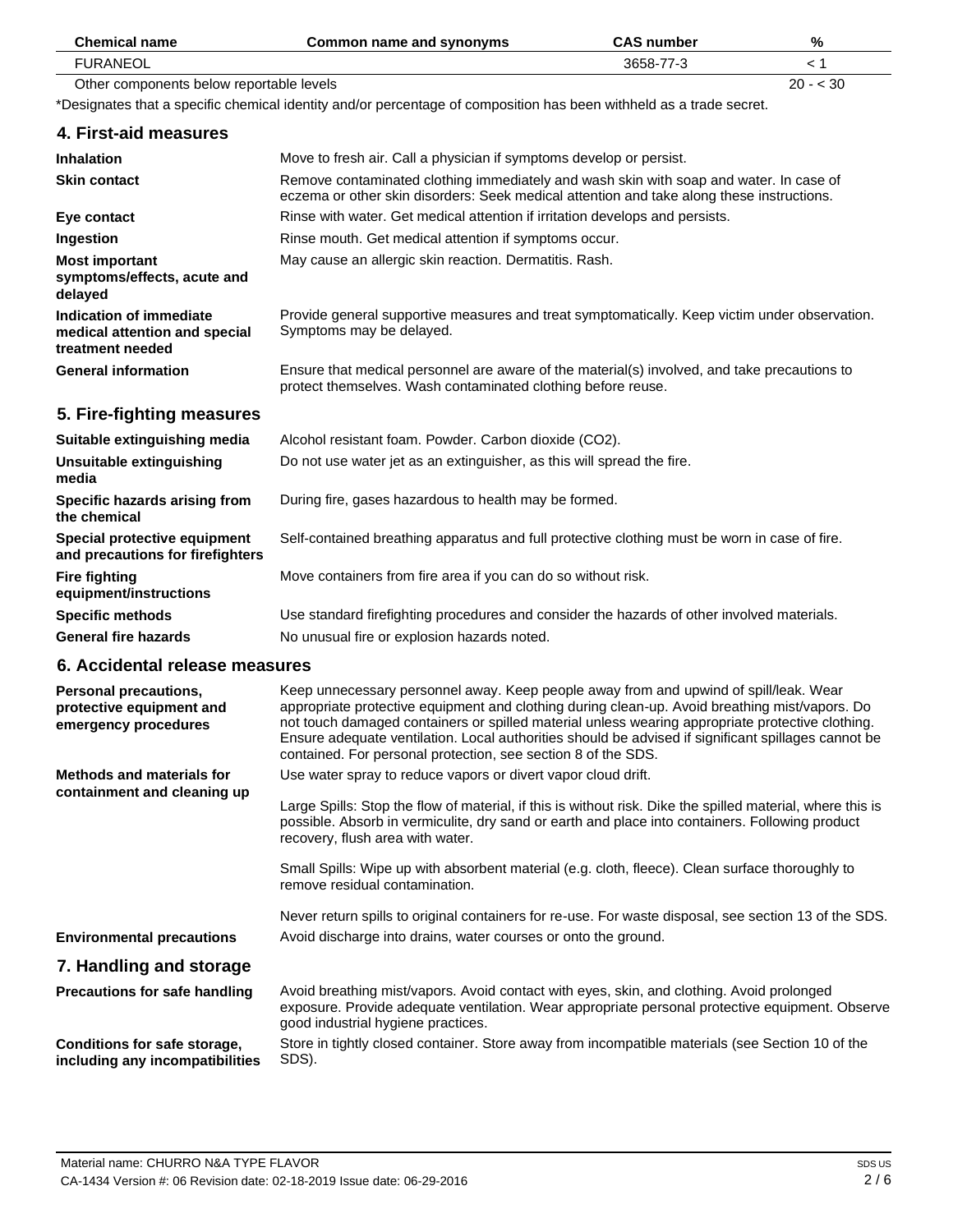| <b>Chemical name</b>                                                                | <b>Common name and synonyms</b>                                                                                                                                                                                                                                                                                                                                                                                                                                     | <b>CAS number</b> | %         |
|-------------------------------------------------------------------------------------|---------------------------------------------------------------------------------------------------------------------------------------------------------------------------------------------------------------------------------------------------------------------------------------------------------------------------------------------------------------------------------------------------------------------------------------------------------------------|-------------------|-----------|
| <b>FURANEOL</b>                                                                     |                                                                                                                                                                                                                                                                                                                                                                                                                                                                     | 3658-77-3         | < 1       |
| Other components below reportable levels                                            |                                                                                                                                                                                                                                                                                                                                                                                                                                                                     |                   | $20 - 30$ |
|                                                                                     | *Designates that a specific chemical identity and/or percentage of composition has been withheld as a trade secret.                                                                                                                                                                                                                                                                                                                                                 |                   |           |
| 4. First-aid measures                                                               |                                                                                                                                                                                                                                                                                                                                                                                                                                                                     |                   |           |
| <b>Inhalation</b>                                                                   | Move to fresh air. Call a physician if symptoms develop or persist.                                                                                                                                                                                                                                                                                                                                                                                                 |                   |           |
| <b>Skin contact</b>                                                                 | Remove contaminated clothing immediately and wash skin with soap and water. In case of<br>eczema or other skin disorders: Seek medical attention and take along these instructions.                                                                                                                                                                                                                                                                                 |                   |           |
| Eye contact                                                                         | Rinse with water. Get medical attention if irritation develops and persists.                                                                                                                                                                                                                                                                                                                                                                                        |                   |           |
| Ingestion                                                                           | Rinse mouth. Get medical attention if symptoms occur.                                                                                                                                                                                                                                                                                                                                                                                                               |                   |           |
| <b>Most important</b><br>symptoms/effects, acute and<br>delayed                     | May cause an allergic skin reaction. Dermatitis. Rash.                                                                                                                                                                                                                                                                                                                                                                                                              |                   |           |
| <b>Indication of immediate</b><br>medical attention and special<br>treatment needed | Provide general supportive measures and treat symptomatically. Keep victim under observation.<br>Symptoms may be delayed.                                                                                                                                                                                                                                                                                                                                           |                   |           |
| <b>General information</b>                                                          | Ensure that medical personnel are aware of the material(s) involved, and take precautions to<br>protect themselves. Wash contaminated clothing before reuse.                                                                                                                                                                                                                                                                                                        |                   |           |
| 5. Fire-fighting measures                                                           |                                                                                                                                                                                                                                                                                                                                                                                                                                                                     |                   |           |
| Suitable extinguishing media                                                        | Alcohol resistant foam. Powder. Carbon dioxide (CO2).                                                                                                                                                                                                                                                                                                                                                                                                               |                   |           |
| Unsuitable extinguishing<br>media                                                   | Do not use water jet as an extinguisher, as this will spread the fire.                                                                                                                                                                                                                                                                                                                                                                                              |                   |           |
| Specific hazards arising from<br>the chemical                                       | During fire, gases hazardous to health may be formed.                                                                                                                                                                                                                                                                                                                                                                                                               |                   |           |
| Special protective equipment<br>and precautions for firefighters                    | Self-contained breathing apparatus and full protective clothing must be worn in case of fire.                                                                                                                                                                                                                                                                                                                                                                       |                   |           |
| <b>Fire fighting</b><br>equipment/instructions                                      | Move containers from fire area if you can do so without risk.                                                                                                                                                                                                                                                                                                                                                                                                       |                   |           |
| <b>Specific methods</b>                                                             | Use standard firefighting procedures and consider the hazards of other involved materials.                                                                                                                                                                                                                                                                                                                                                                          |                   |           |
| <b>General fire hazards</b>                                                         | No unusual fire or explosion hazards noted.                                                                                                                                                                                                                                                                                                                                                                                                                         |                   |           |
| 6. Accidental release measures                                                      |                                                                                                                                                                                                                                                                                                                                                                                                                                                                     |                   |           |
| Personal precautions,<br>protective equipment and<br>emergency procedures           | Keep unnecessary personnel away. Keep people away from and upwind of spill/leak. Wear<br>appropriate protective equipment and clothing during clean-up. Avoid breathing mist/vapors. Do<br>not touch damaged containers or spilled material unless wearing appropriate protective clothing.<br>Ensure adequate ventilation. Local authorities should be advised if significant spillages cannot be<br>contained. For personal protection, see section 8 of the SDS. |                   |           |
| <b>Methods and materials for</b>                                                    | Use water spray to reduce vapors or divert vapor cloud drift.                                                                                                                                                                                                                                                                                                                                                                                                       |                   |           |
| containment and cleaning up                                                         | Large Spills: Stop the flow of material, if this is without risk. Dike the spilled material, where this is<br>possible. Absorb in vermiculite, dry sand or earth and place into containers. Following product<br>recovery, flush area with water.                                                                                                                                                                                                                   |                   |           |
|                                                                                     | Small Spills: Wipe up with absorbent material (e.g. cloth, fleece). Clean surface thoroughly to<br>remove residual contamination.                                                                                                                                                                                                                                                                                                                                   |                   |           |
| <b>Environmental precautions</b>                                                    | Never return spills to original containers for re-use. For waste disposal, see section 13 of the SDS.<br>Avoid discharge into drains, water courses or onto the ground.                                                                                                                                                                                                                                                                                             |                   |           |
|                                                                                     |                                                                                                                                                                                                                                                                                                                                                                                                                                                                     |                   |           |
| 7. Handling and storage                                                             |                                                                                                                                                                                                                                                                                                                                                                                                                                                                     |                   |           |
| <b>Precautions for safe handling</b>                                                | Avoid breathing mist/vapors. Avoid contact with eyes, skin, and clothing. Avoid prolonged<br>exposure. Provide adequate ventilation. Wear appropriate personal protective equipment. Observe<br>good industrial hygiene practices.                                                                                                                                                                                                                                  |                   |           |
| Conditions for safe storage,<br>including any incompatibilities                     | Store in tightly closed container. Store away from incompatible materials (see Section 10 of the<br>SDS).                                                                                                                                                                                                                                                                                                                                                           |                   |           |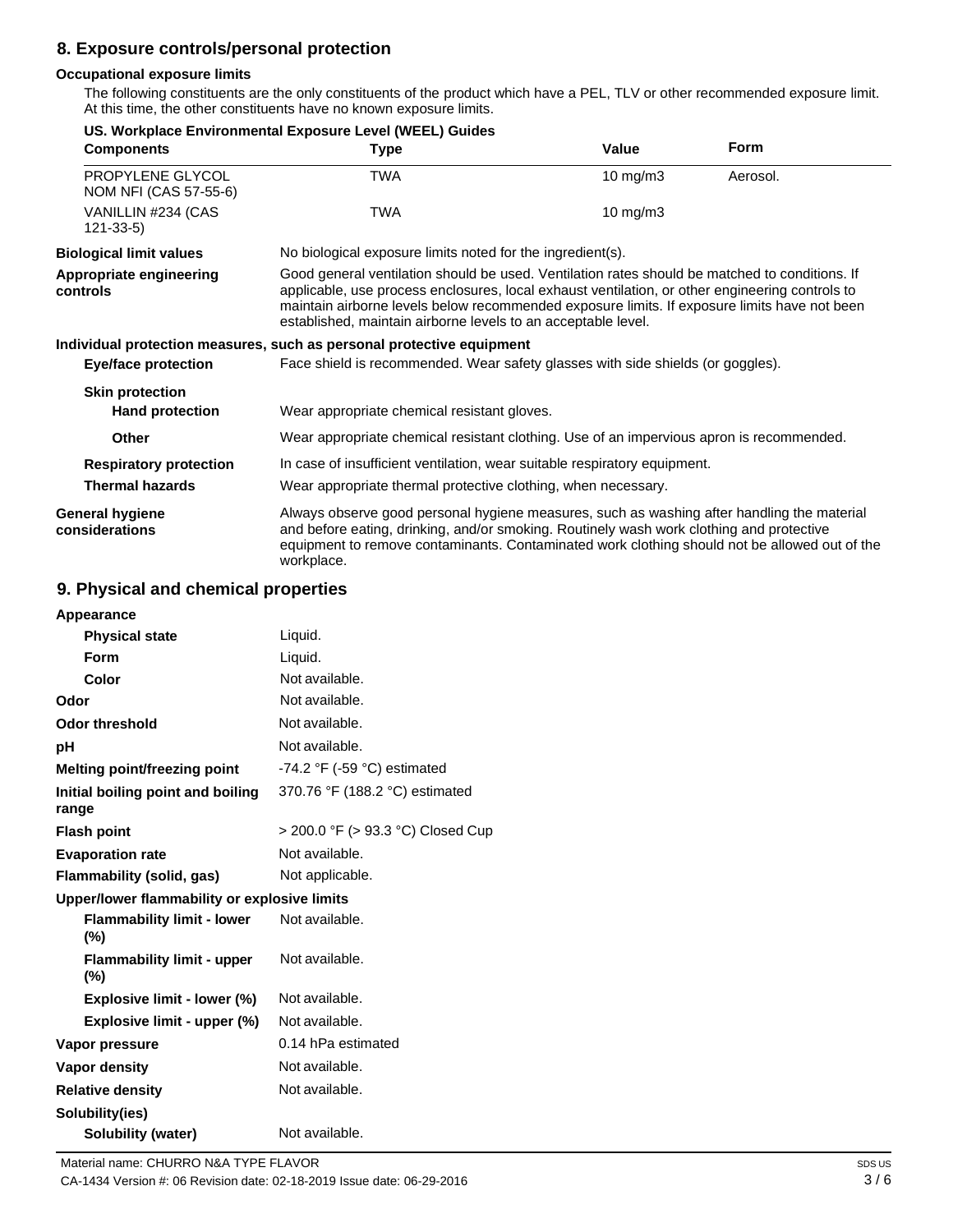# **8. Exposure controls/personal protection**

## **Occupational exposure limits**

The following constituents are the only constituents of the product which have a PEL, TLV or other recommended exposure limit. At this time, the other constituents have no known exposure limits.

|                                           | US. Workplace Environmental Exposure Level (WEEL) Guides                                                                                                                                                                                                                                                                                                           |                                                            |             |  |
|-------------------------------------------|--------------------------------------------------------------------------------------------------------------------------------------------------------------------------------------------------------------------------------------------------------------------------------------------------------------------------------------------------------------------|------------------------------------------------------------|-------------|--|
| <b>Components</b>                         | <b>Type</b>                                                                                                                                                                                                                                                                                                                                                        | Value                                                      | <b>Form</b> |  |
| PROPYLENE GLYCOL<br>NOM NFI (CAS 57-55-6) | <b>TWA</b>                                                                                                                                                                                                                                                                                                                                                         | $10$ mg/m $3$                                              | Aerosol.    |  |
| VANILLIN #234 (CAS<br>$121 - 33 - 5$      | <b>TWA</b>                                                                                                                                                                                                                                                                                                                                                         | $10 \text{ mg/m}$                                          |             |  |
| <b>Biological limit values</b>            |                                                                                                                                                                                                                                                                                                                                                                    | No biological exposure limits noted for the ingredient(s). |             |  |
| Appropriate engineering<br>controls       | Good general ventilation should be used. Ventilation rates should be matched to conditions. If<br>applicable, use process enclosures, local exhaust ventilation, or other engineering controls to<br>maintain airborne levels below recommended exposure limits. If exposure limits have not been<br>established, maintain airborne levels to an acceptable level. |                                                            |             |  |
|                                           | Individual protection measures, such as personal protective equipment                                                                                                                                                                                                                                                                                              |                                                            |             |  |
| Eye/face protection                       | Face shield is recommended. Wear safety glasses with side shields (or goggles).                                                                                                                                                                                                                                                                                    |                                                            |             |  |
| <b>Skin protection</b>                    |                                                                                                                                                                                                                                                                                                                                                                    |                                                            |             |  |
| <b>Hand protection</b>                    | Wear appropriate chemical resistant gloves.                                                                                                                                                                                                                                                                                                                        |                                                            |             |  |
| Other                                     | Wear appropriate chemical resistant clothing. Use of an impervious apron is recommended.                                                                                                                                                                                                                                                                           |                                                            |             |  |
| <b>Respiratory protection</b>             | In case of insufficient ventilation, wear suitable respiratory equipment.                                                                                                                                                                                                                                                                                          |                                                            |             |  |
| <b>Thermal hazards</b>                    | Wear appropriate thermal protective clothing, when necessary.                                                                                                                                                                                                                                                                                                      |                                                            |             |  |
| General hygiene<br>considerations         | Always observe good personal hygiene measures, such as washing after handling the material<br>and before eating, drinking, and/or smoking. Routinely wash work clothing and protective<br>equipment to remove contaminants. Contaminated work clothing should not be allowed out of the<br>workplace.                                                              |                                                            |             |  |

## **9. Physical and chemical properties**

| Liquid.                                       |
|-----------------------------------------------|
| Liquid.                                       |
| Not available.                                |
| Not available.                                |
| Not available.                                |
| Not available.                                |
| -74.2 $\degree$ F (-59 $\degree$ C) estimated |
| 370.76 °F (188.2 °C) estimated                |
| > 200.0 °F (> 93.3 °C) Closed Cup             |
| Not available.                                |
| Not applicable.                               |
| Upper/lower flammability or explosive limits  |
| Not available.                                |
| Not available.                                |
| Not available.                                |
| Not available.                                |
| 0.14 hPa estimated                            |
| Not available.                                |
| Not available.                                |
|                                               |
| Not available.                                |
|                                               |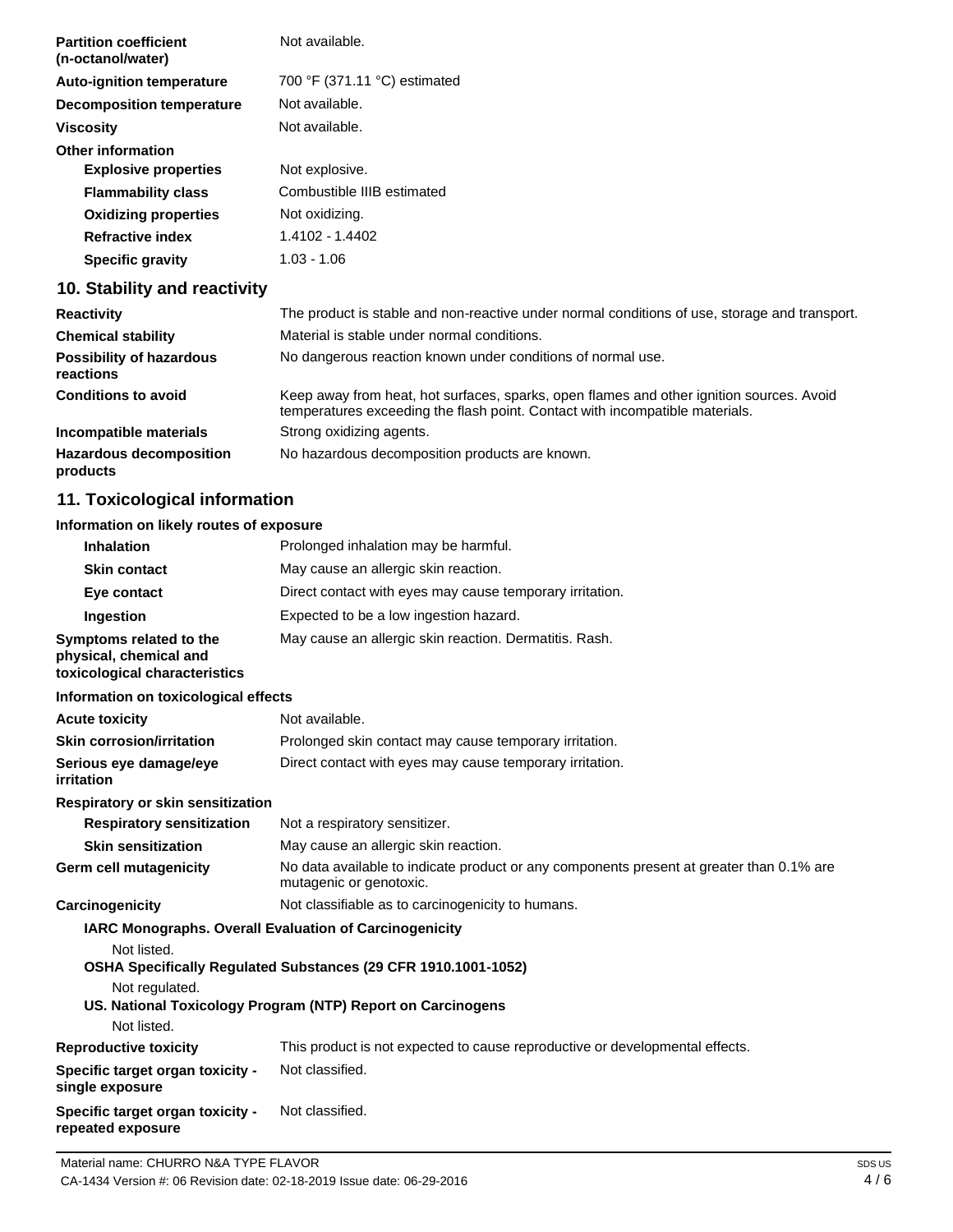| <b>Partition coefficient</b><br>(n-octanol/water) | Not available.               |
|---------------------------------------------------|------------------------------|
| <b>Auto-ignition temperature</b>                  | 700 °F (371.11 °C) estimated |
| Decomposition temperature                         | Not available.               |
| <b>Viscosity</b>                                  | Not available.               |
| <b>Other information</b>                          |                              |
| <b>Explosive properties</b>                       | Not explosive.               |
| <b>Flammability class</b>                         | Combustible IIIB estimated   |
| <b>Oxidizing properties</b>                       | Not oxidizing.               |
| <b>Refractive index</b>                           | 1.4102 - 1.4402              |
| <b>Specific gravity</b>                           | 1.03 - 1.06                  |
|                                                   |                              |

# **10. Stability and reactivity**

| <b>Reactivity</b>                            | The product is stable and non-reactive under normal conditions of use, storage and transport.                                                                            |
|----------------------------------------------|--------------------------------------------------------------------------------------------------------------------------------------------------------------------------|
| <b>Chemical stability</b>                    | Material is stable under normal conditions.                                                                                                                              |
| <b>Possibility of hazardous</b><br>reactions | No dangerous reaction known under conditions of normal use.                                                                                                              |
| <b>Conditions to avoid</b>                   | Keep away from heat, hot surfaces, sparks, open flames and other ignition sources. Avoid<br>temperatures exceeding the flash point. Contact with incompatible materials. |
| Incompatible materials                       | Strong oxidizing agents.                                                                                                                                                 |
| <b>Hazardous decomposition</b><br>products   | No hazardous decomposition products are known.                                                                                                                           |

# **11. Toxicological information**

# **Information on likely routes of exposure**

| <b>Inhalation</b>                                                                       | Prolonged inhalation may be harmful.                                                                                |
|-----------------------------------------------------------------------------------------|---------------------------------------------------------------------------------------------------------------------|
| <b>Skin contact</b>                                                                     | May cause an allergic skin reaction.                                                                                |
| Eye contact                                                                             | Direct contact with eyes may cause temporary irritation.                                                            |
| Ingestion                                                                               | Expected to be a low ingestion hazard.                                                                              |
| Symptoms related to the<br>physical, chemical and<br>toxicological characteristics      | May cause an allergic skin reaction. Dermatitis. Rash.                                                              |
| Information on toxicological effects                                                    |                                                                                                                     |
| <b>Acute toxicity</b>                                                                   | Not available.                                                                                                      |
| <b>Skin corrosion/irritation</b>                                                        | Prolonged skin contact may cause temporary irritation.                                                              |
| Serious eye damage/eye<br>irritation                                                    | Direct contact with eyes may cause temporary irritation.                                                            |
| Respiratory or skin sensitization                                                       |                                                                                                                     |
| <b>Respiratory sensitization</b>                                                        | Not a respiratory sensitizer.                                                                                       |
| <b>Skin sensitization</b>                                                               | May cause an allergic skin reaction.                                                                                |
| <b>Germ cell mutagenicity</b>                                                           | No data available to indicate product or any components present at greater than 0.1% are<br>mutagenic or genotoxic. |
| Carcinogenicity                                                                         | Not classifiable as to carcinogenicity to humans.                                                                   |
| IARC Monographs. Overall Evaluation of Carcinogenicity<br>Not listed.<br>Not regulated. | OSHA Specifically Regulated Substances (29 CFR 1910.1001-1052)                                                      |
| Not listed.                                                                             | US. National Toxicology Program (NTP) Report on Carcinogens                                                         |
| <b>Reproductive toxicity</b>                                                            | This product is not expected to cause reproductive or developmental effects.                                        |
| Specific target organ toxicity -                                                        | Not classified.                                                                                                     |
| single exposure<br>Specific target organ toxicity -<br>repeated exposure                | Not classified.                                                                                                     |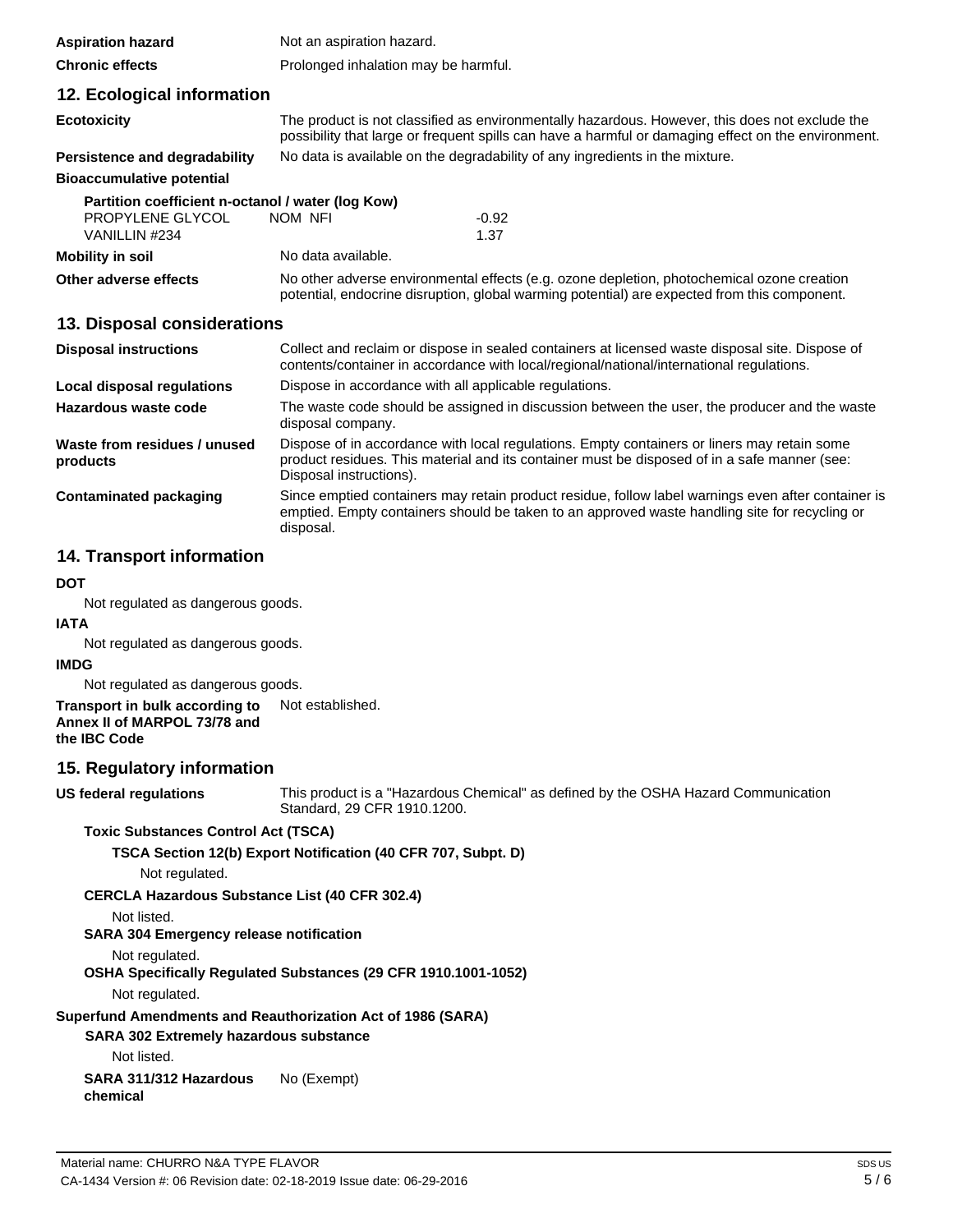| <b>Aspiration hazard</b>                          | Not an aspiration hazard.                                                    |                                                                                                                                                                                                       |
|---------------------------------------------------|------------------------------------------------------------------------------|-------------------------------------------------------------------------------------------------------------------------------------------------------------------------------------------------------|
| <b>Chronic effects</b>                            | Prolonged inhalation may be harmful.                                         |                                                                                                                                                                                                       |
| 12. Ecological information                        |                                                                              |                                                                                                                                                                                                       |
| <b>Ecotoxicity</b>                                |                                                                              | The product is not classified as environmentally hazardous. However, this does not exclude the<br>possibility that large or frequent spills can have a harmful or damaging effect on the environment. |
| <b>Persistence and degradability</b>              | No data is available on the degradability of any ingredients in the mixture. |                                                                                                                                                                                                       |
| <b>Bioaccumulative potential</b>                  |                                                                              |                                                                                                                                                                                                       |
| Partition coefficient n-octanol / water (log Kow) |                                                                              |                                                                                                                                                                                                       |
| PROPYLENE GLYCOL                                  | NOM NFI                                                                      | $-0.92$                                                                                                                                                                                               |
| VANILLIN #234                                     |                                                                              | 1.37                                                                                                                                                                                                  |
| <b>Mobility in soil</b>                           | No data available.                                                           |                                                                                                                                                                                                       |
| Other adverse effects                             |                                                                              | No other adverse environmental effects (e.g. ozone depletion, photochemical ozone creation<br>potential, endocrine disruption, global warming potential) are expected from this component.            |

## **13. Disposal considerations**

| <b>Disposal instructions</b>             | Collect and reclaim or dispose in sealed containers at licensed waste disposal site. Dispose of<br>contents/container in accordance with local/regional/national/international regulations.                            |
|------------------------------------------|------------------------------------------------------------------------------------------------------------------------------------------------------------------------------------------------------------------------|
| Local disposal regulations               | Dispose in accordance with all applicable regulations.                                                                                                                                                                 |
| Hazardous waste code                     | The waste code should be assigned in discussion between the user, the producer and the waste<br>disposal company.                                                                                                      |
| Waste from residues / unused<br>products | Dispose of in accordance with local regulations. Empty containers or liners may retain some<br>product residues. This material and its container must be disposed of in a safe manner (see:<br>Disposal instructions). |
| Contaminated packaging                   | Since emptied containers may retain product residue, follow label warnings even after container is<br>emptied. Empty containers should be taken to an approved waste handling site for recycling or<br>disposal.       |

# **14. Transport information**

## **DOT**

Not regulated as dangerous goods.

### **IATA**

Not regulated as dangerous goods.

#### **IMDG**

Not regulated as dangerous goods.

**Transport in bulk according to Annex II of MARPOL 73/78 and the IBC Code** Not established.

# **15. Regulatory information**

**US federal regulations**

This product is a "Hazardous Chemical" as defined by the OSHA Hazard Communication Standard, 29 CFR 1910.1200.

### **Toxic Substances Control Act (TSCA)**

**TSCA Section 12(b) Export Notification (40 CFR 707, Subpt. D)**

Not regulated.

**CERCLA Hazardous Substance List (40 CFR 302.4)**

# Not listed.

# **SARA 304 Emergency release notification**

Not regulated.

**OSHA Specifically Regulated Substances (29 CFR 1910.1001-1052)**

Not regulated.

**Superfund Amendments and Reauthorization Act of 1986 (SARA)** 

**SARA 302 Extremely hazardous substance**

Not listed.

**SARA 311/312 Hazardous chemical** No (Exempt)